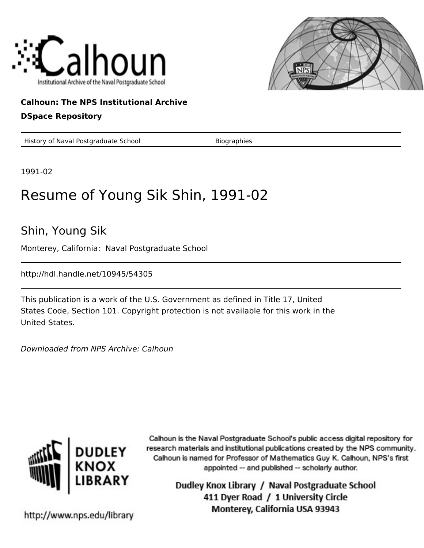



## **Calhoun: The NPS Institutional Archive**

## **DSpace Repository**

History of Naval Postgraduate School Biographies

1991-02

## Resume of Young Sik Shin, 1991-02

Shin, Young Sik

Monterey, California: Naval Postgraduate School

http://hdl.handle.net/10945/54305

This publication is a work of the U.S. Government as defined in Title 17, United States Code, Section 101. Copyright protection is not available for this work in the United States.

Downloaded from NPS Archive: Calhoun



Calhoun is the Naval Postgraduate School's public access digital repository for research materials and institutional publications created by the NPS community. Calhoun is named for Professor of Mathematics Guy K. Calhoun, NPS's first appointed -- and published -- scholarly author.

> Dudley Knox Library / Naval Postgraduate School 411 Dyer Road / 1 University Circle Monterey, California USA 93943

http://www.nps.edu/library